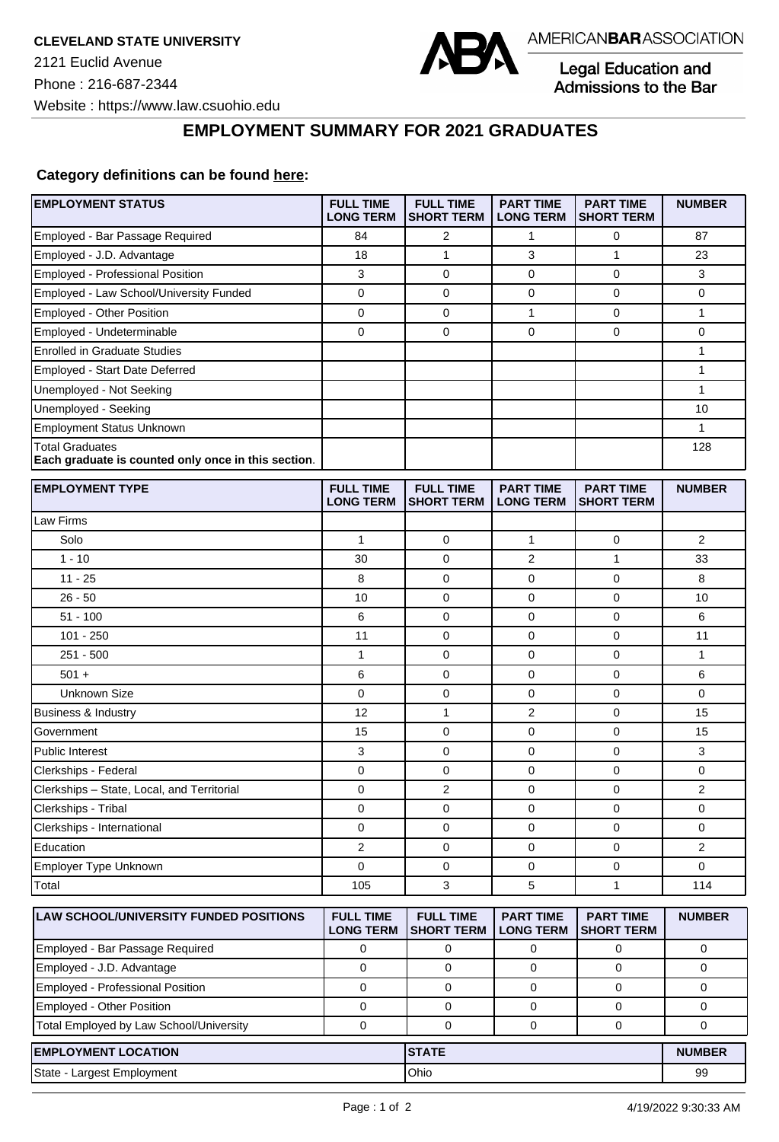

Legal Education and<br>Admissions to the Bar

**EMPLOYMENT SUMMARY FOR 2021 GRADUATES**

## **Category definitions can be found [here:](https://www.americanbar.org/content/dam/aba/administrative/legal_education_and_admissions_to_the_bar/Questionnaires/2021/2022-employment-protocols-for-the-class-of-2021-september-2021.pdf)**

| <b>EMPLOYMENT STATUS</b>                                                      | <b>FULL TIME</b><br><b>LONG TERM</b> | <b>FULL TIME</b><br><b>SHORT TERM</b> | <b>PART TIME</b><br><b>LONG TERM</b> | <b>PART TIME</b><br><b>SHORT TERM</b> | <b>NUMBER</b>           |
|-------------------------------------------------------------------------------|--------------------------------------|---------------------------------------|--------------------------------------|---------------------------------------|-------------------------|
| Employed - Bar Passage Required                                               | 84                                   | 2                                     | 1                                    | 0                                     | 87                      |
| Employed - J.D. Advantage                                                     | 18                                   | $\mathbf{1}$                          | 3                                    | $\mathbf{1}$                          | 23                      |
| Employed - Professional Position                                              | 3                                    | 0                                     | 0                                    | $\mathbf 0$                           | 3                       |
| Employed - Law School/University Funded                                       | $\mathbf 0$                          | 0                                     | 0                                    | $\mathbf 0$                           | 0                       |
| Employed - Other Position                                                     | $\mathbf 0$                          | 0                                     | $\mathbf{1}$                         | $\mathbf 0$                           | 1                       |
| Employed - Undeterminable                                                     | $\mathbf 0$                          | 0                                     | $\mathbf 0$                          | $\mathbf 0$                           | 0                       |
| <b>Enrolled in Graduate Studies</b>                                           |                                      |                                       |                                      |                                       | 1                       |
| Employed - Start Date Deferred                                                |                                      |                                       |                                      |                                       | 1                       |
| Unemployed - Not Seeking                                                      |                                      |                                       |                                      |                                       | $\mathbf{1}$            |
| Unemployed - Seeking                                                          |                                      |                                       |                                      |                                       | 10                      |
| <b>Employment Status Unknown</b>                                              |                                      |                                       |                                      |                                       | 1                       |
| <b>Total Graduates</b><br>Each graduate is counted only once in this section. |                                      |                                       |                                      |                                       | 128                     |
| <b>EMPLOYMENT TYPE</b>                                                        | <b>FULL TIME</b><br><b>LONG TERM</b> | <b>FULL TIME</b><br><b>SHORT TERM</b> | <b>PART TIME</b><br><b>LONG TERM</b> | <b>PART TIME</b><br><b>SHORT TERM</b> | <b>NUMBER</b>           |
| Law Firms                                                                     |                                      |                                       |                                      |                                       |                         |
| Solo                                                                          | $\mathbf{1}$                         | $\mathbf 0$                           | 1                                    | $\mathbf 0$                           | $\overline{2}$          |
| $1 - 10$                                                                      | 30                                   | $\mathbf 0$                           | 2                                    | $\mathbf{1}$                          | 33                      |
| $11 - 25$                                                                     | 8                                    | $\mathbf 0$                           | 0                                    | $\mathbf 0$                           | 8                       |
| $26 - 50$                                                                     | 10                                   | $\mathbf 0$                           | $\mathbf 0$                          | $\pmb{0}$                             | 10                      |
| $51 - 100$                                                                    | 6                                    | 0                                     | 0                                    | 0                                     | 6                       |
| $101 - 250$                                                                   | 11                                   | $\mathbf 0$                           | $\mathbf 0$                          | $\mathbf 0$                           | 11                      |
| $251 - 500$                                                                   | 1                                    | 0                                     | 0                                    | $\mathbf 0$                           | 1                       |
| $501 +$                                                                       | 6                                    | 0                                     | 0                                    | 0                                     | 6                       |
| <b>Unknown Size</b>                                                           | $\mathbf 0$                          | 0                                     | 0                                    | $\mathbf 0$                           | 0                       |
| Business & Industry                                                           | 12                                   | 1                                     | 2                                    | $\mathbf 0$                           | 15                      |
| Government                                                                    | 15                                   | $\mathbf 0$                           | 0                                    | $\mathbf 0$                           | 15                      |
| Public Interest                                                               | 3                                    | 0                                     | 0                                    | $\mathbf 0$                           | 3                       |
| Clerkships - Federal                                                          | $\pmb{0}$                            | 0                                     | 0                                    | $\mathbf{0}$                          | 0                       |
| Clerkships - State, Local, and Territorial                                    | $\mathbf 0$                          | 2                                     | 0                                    | $\mathbf 0$                           | 2                       |
| Clerkships - Tribal                                                           | 0                                    | 0                                     | 0                                    | $\mathbf 0$                           | 0                       |
| Clerkships - International                                                    | 0                                    | 0                                     | 0                                    | 0                                     | 0                       |
| Education                                                                     | $\mathbf 2$                          | 0                                     | 0                                    | 0                                     | $\overline{\mathbf{c}}$ |
| Employer Type Unknown                                                         | 0                                    | 0                                     | 0                                    | 0                                     | 0                       |
| Total                                                                         | 105                                  | 3                                     | 5                                    | $\mathbf{1}$                          | 114                     |
| LAW SCHOOL/UNIVERSITY FUNDED POSITIONS                                        | <b>FULL TIME</b><br><b>LONG TERM</b> | <b>FULL TIME</b><br><b>SHORT TERM</b> | <b>PART TIME</b><br><b>LONG TERM</b> | <b>PART TIME</b><br><b>SHORT TERM</b> | <b>NUMBER</b>           |
| Employed - Bar Passage Required                                               | 0                                    | 0                                     | 0                                    | 0                                     | 0                       |
| Employed - J.D. Advantage                                                     | $\mathbf 0$                          | 0                                     | 0                                    | 0                                     | 0                       |
| Employed - Professional Position                                              | $\mathbf 0$                          | 0                                     | 0                                    | $\mathbf 0$                           | 0                       |
| Employed - Other Position                                                     | 0                                    | 0                                     | 0                                    | 0                                     | 0                       |
| Total Employed by Law School/University                                       | $\mathbf 0$                          | $\mathbf 0$                           | 0                                    | 0                                     | 0                       |
| <b>EMPLOYMENT LOCATION</b>                                                    |                                      | <b>STATE</b>                          |                                      |                                       | <b>NUMBER</b>           |
| State - Largest Employment                                                    |                                      | Ohio                                  |                                      |                                       | 99                      |
|                                                                               |                                      |                                       |                                      |                                       |                         |